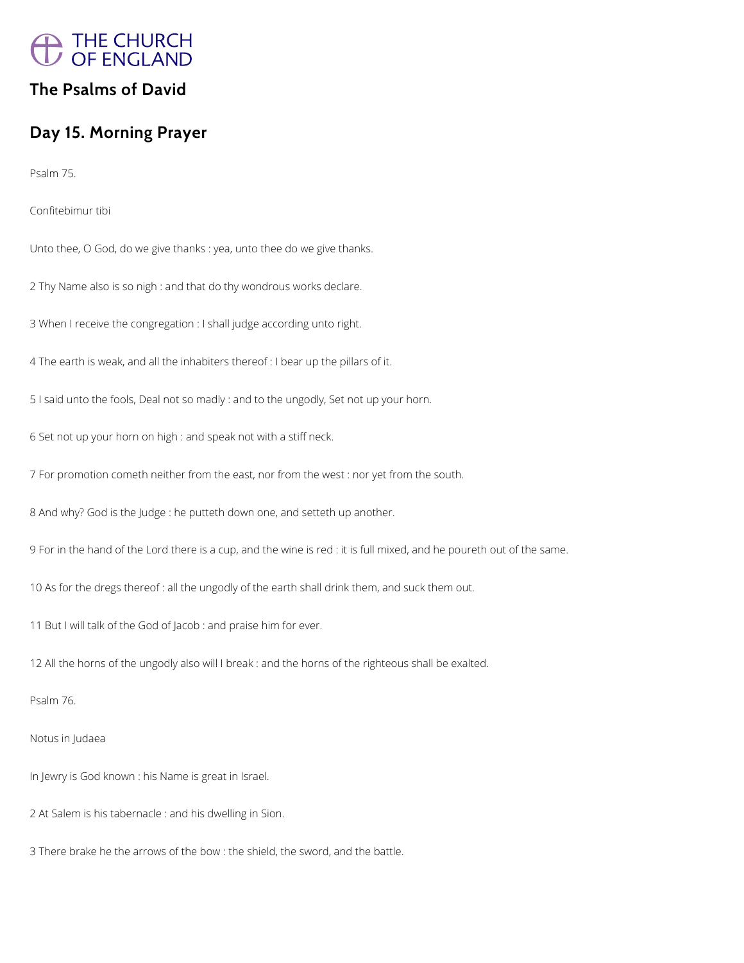

## **The Psalms of David**

# **Day 15. Morning Prayer**

Psalm 75.

Confitebimur tibi

Unto thee, O God, do we give thanks : yea, unto thee do we give thanks.

2 Thy Name also is so nigh : and that do thy wondrous works declare.

3 When I receive the congregation : I shall judge according unto right.

4 The earth is weak, and all the inhabiters thereof : I bear up the pillars of it.

5 I said unto the fools, Deal not so madly : and to the ungodly, Set not up your horn.

6 Set not up your horn on high : and speak not with a stiff neck.

7 For promotion cometh neither from the east, nor from the west : nor yet from the south.

8 And why? God is the Judge : he putteth down one, and setteth up another.

9 For in the hand of the Lord there is a cup, and the wine is red : it is full mixed, and he poureth out of the same.

10 As for the dregs thereof : all the ungodly of the earth shall drink them, and suck them out.

11 But I will talk of the God of Jacob : and praise him for ever.

12 All the horns of the ungodly also will I break : and the horns of the righteous shall be exalted.

Psalm 76.

Notus in Judaea

In Jewry is God known : his Name is great in Israel.

2 At Salem is his tabernacle : and his dwelling in Sion.

3 There brake he the arrows of the bow : the shield, the sword, and the battle.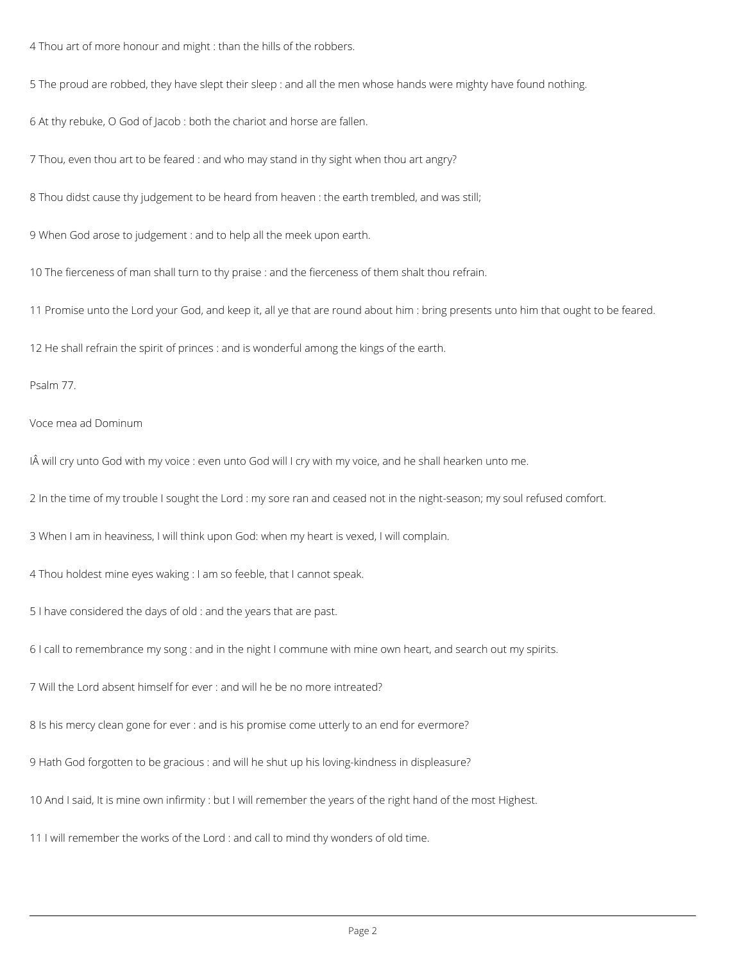4 Thou art of more honour and might : than the hills of the robbers.

5 The proud are robbed, they have slept their sleep : and all the men whose hands were mighty have found nothing.

6 At thy rebuke, O God of Jacob : both the chariot and horse are fallen.

7 Thou, even thou art to be feared : and who may stand in thy sight when thou art angry?

8 Thou didst cause thy judgement to be heard from heaven : the earth trembled, and was still;

9 When God arose to judgement : and to help all the meek upon earth.

10 The fierceness of man shall turn to thy praise : and the fierceness of them shalt thou refrain.

11 Promise unto the Lord your God, and keep it, all ye that are round about him : bring presents unto him that ought to be feared.

12 He shall refrain the spirit of princes : and is wonderful among the kings of the earth.

Psalm 77.

Voce mea ad Dominum

IÂ will cry unto God with my voice : even unto God will I cry with my voice, and he shall hearken unto me.

2 In the time of my trouble I sought the Lord : my sore ran and ceased not in the night-season; my soul refused comfort.

3 When I am in heaviness, I will think upon God: when my heart is vexed, I will complain.

4 Thou holdest mine eyes waking : I am so feeble, that I cannot speak.

5 I have considered the days of old : and the years that are past.

6 I call to remembrance my song : and in the night I commune with mine own heart, and search out my spirits.

7 Will the Lord absent himself for ever : and will he be no more intreated?

8 Is his mercy clean gone for ever : and is his promise come utterly to an end for evermore?

9 Hath God forgotten to be gracious : and will he shut up his loving-kindness in displeasure?

10 And I said, It is mine own infirmity : but I will remember the years of the right hand of the most Highest.

11 I will remember the works of the Lord : and call to mind thy wonders of old time.